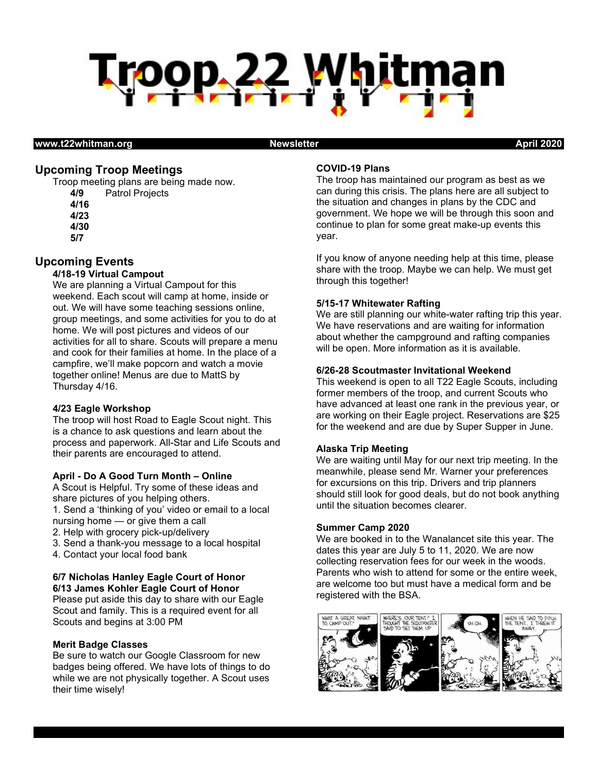

#### www.t22whitman.org Newsletter April 2020

# Upcoming Troop Meetings

Troop meeting plans are being made now. 4/9 Patrol Projects 4/16

- 4/23 4/30
- 5/7

# Upcoming Events

# 4/18-19 Virtual Campout

We are planning a Virtual Campout for this weekend. Each scout will camp at home, inside or out. We will have some teaching sessions online, group meetings, and some activities for you to do at home. We will post pictures and videos of our activities for all to share. Scouts will prepare a menu and cook for their families at home. In the place of a campfire, we'll make popcorn and watch a movie together online! Menus are due to MattS by Thursday 4/16.

## 4/23 Eagle Workshop

The troop will host Road to Eagle Scout night. This is a chance to ask questions and learn about the process and paperwork. All-Star and Life Scouts and their parents are encouraged to attend.

#### April - Do A Good Turn Month – Online

A Scout is Helpful. Try some of these ideas and share pictures of you helping others.

1. Send a 'thinking of you' video or email to a local nursing home — or give them a call

- 2. Help with grocery pick-up/delivery
- 3. Send a thank-you message to a local hospital
- 4. Contact your local food bank

## 6/7 Nicholas Hanley Eagle Court of Honor 6/13 James Kohler Eagle Court of Honor

Please put aside this day to share with our Eagle Scout and family. This is a required event for all Scouts and begins at 3:00 PM

#### Merit Badge Classes

Be sure to watch our Google Classroom for new badges being offered. We have lots of things to do while we are not physically together. A Scout uses their time wisely!

## COVID-19 Plans

The troop has maintained our program as best as we can during this crisis. The plans here are all subject to the situation and changes in plans by the CDC and government. We hope we will be through this soon and continue to plan for some great make-up events this year.

If you know of anyone needing help at this time, please share with the troop. Maybe we can help. We must get through this together!

## 5/15-17 Whitewater Rafting

We are still planning our white-water rafting trip this year. We have reservations and are waiting for information about whether the campground and rafting companies will be open. More information as it is available.

## 6/26-28 Scoutmaster Invitational Weekend

This weekend is open to all T22 Eagle Scouts, including former members of the troop, and current Scouts who have advanced at least one rank in the previous year, or are working on their Eagle project. Reservations are \$25 for the weekend and are due by Super Supper in June.

## Alaska Trip Meeting

We are waiting until May for our next trip meeting. In the meanwhile, please send Mr. Warner your preferences for excursions on this trip. Drivers and trip planners should still look for good deals, but do not book anything until the situation becomes clearer.

#### Summer Camp 2020

We are booked in to the Wanalancet site this year. The dates this year are July 5 to 11, 2020. We are now collecting reservation fees for our week in the woods. Parents who wish to attend for some or the entire week, are welcome too but must have a medical form and be registered with the BSA.